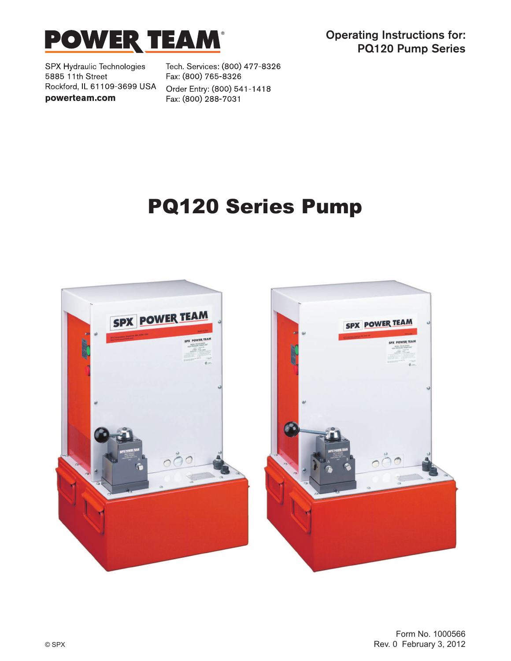

Operating Instructions for: PQ120 Pump Series

SPX Hydraulic Technologies 5885 11th Street Rockford, IL 61109-3699 USA powerteam.com

Tech. Services: (800) 477-8326 Fax: (800) 765-8326 Order Entry: (800) 541-1418 Fax: (800) 288-7031

## PQ120 Series Pump



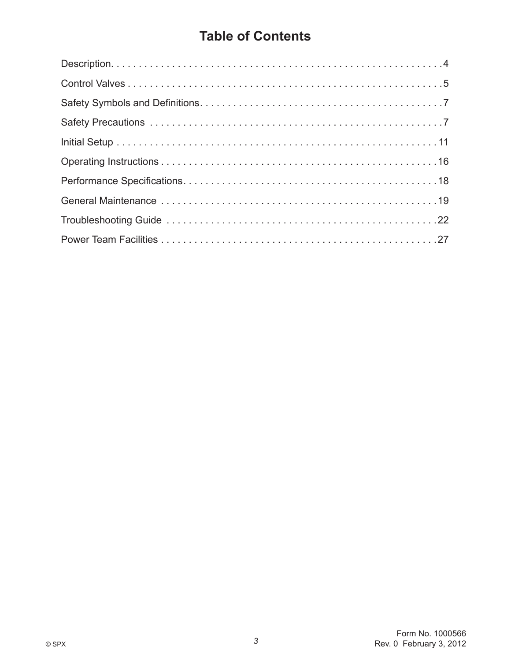## **Table of Contents**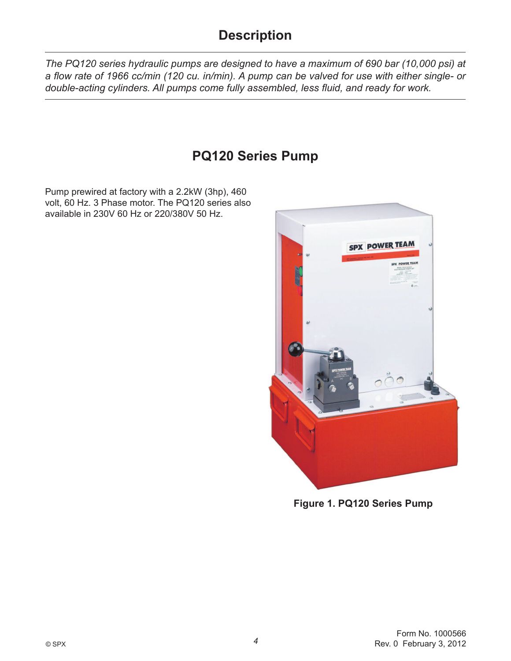## **Description**

*The PQ120 series hydraulic pumps are designed to have a maximum of 690 bar (10,000 psi) at*  a flow rate of 1966 cc/min (120 cu. in/min). A pump can be valved for use with either single- or *double-acting cylinders. All pumps come fully assembled, less fluid, and ready for work.* 

## **PQ120 Series Pump**

Pump prewired at factory with a 2.2kW (3hp), 460 volt, 60 Hz. 3 Phase motor. The PQ120 series also available in 230V 60 Hz or 220/380V 50 Hz.



**Figure 1. PQ120 Series Pump**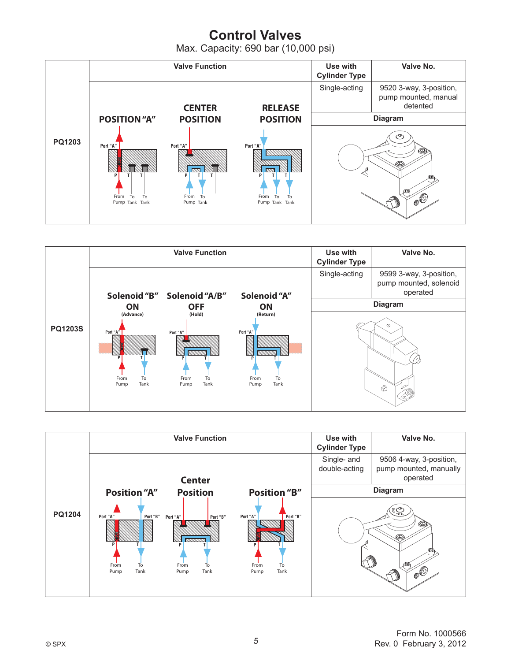## **Control Valves**

Max. Capacity: 690 bar (10,000 psi)





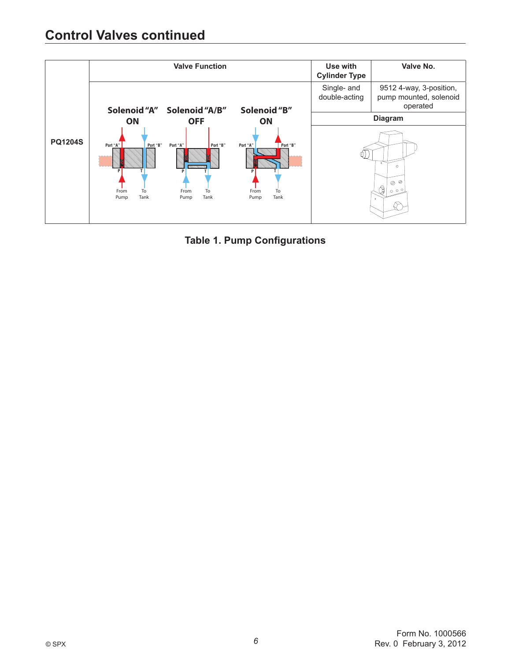

**Table 1. Pump Configurations**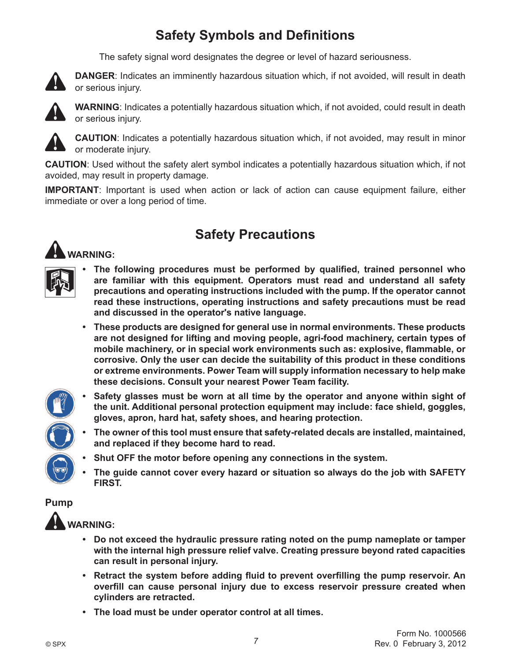## **Safety Symbols and Definitions**

The safety signal word designates the degree or level of hazard seriousness.



 **DANGER**: Indicates an imminently hazardous situation which, if not avoided, will result in death or serious injury.



 **WARNING**: Indicates a potentially hazardous situation which, if not avoided, could result in death or serious injury.



 **CAUTION**: Indicates a potentially hazardous situation which, if not avoided, may result in minor or moderate injury.

**CAUTION**: Used without the safety alert symbol indicates a potentially hazardous situation which, if not avoided, may result in property damage.

**IMPORTANT**: Important is used when action or lack of action can cause equipment failure, either immediate or over a long period of time.





## **Safety Precautions**

- The following procedures must be performed by qualified, trained personnel who **are familiar with this equipment. Operators must read and understand all safety precautions and operating instructions included with the pump. If the operator cannot**  read these instructions, operating instructions and safety precautions must be read **and discussed in the operator's native language.**
- **These products are designed for general use in normal environments. These products**  are not designed for lifting and moving people, agri-food machinery, certain types of mobile machinery, or in special work environments such as: explosive, flammable, or **corrosive. Only the user can decide the suitability of this product in these conditions**  or extreme environments. Power Team will supply information necessary to help make **these decisions. Consult your nearest Power Team facility.**



- **Safety glasses must be worn at all time by the operator and anyone within sight of**  the unit. Additional personal protection equipment may include: face shield, goggles, gloves, apron, hard hat, safety shoes, and hearing protection.
- The owner of this tool must ensure that safety-related decals are installed, maintained, **and replaced if they become hard to read.**
- **Shut OFF the motor before opening any connections in the system.**
- **The guide cannot cover every hazard or situation so always do the job with SAFETY FIRST.**

#### **Pump**



- **Do not exceed the hydraulic pressure rating noted on the pump nameplate or tamper with the internal high pressure relief valve. Creating pressure beyond rated capacities can result in personal injury.**
- Retract the system before adding fluid to prevent overfilling the pump reservoir. An overfill can cause personal injury due to excess reservoir pressure created when **cylinders are retracted.**
- **The load must be under operator control at all times.**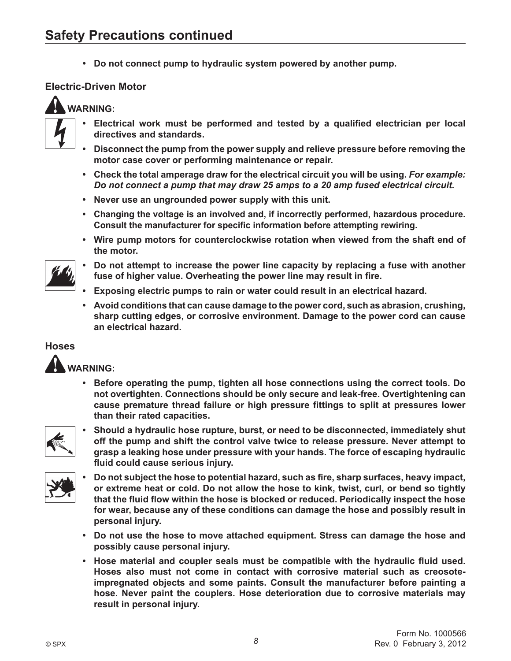**Do not connect pump to hydraulic system powered by another pump.**

#### **Electric-Driven Motor**

#### **WARNING:**



- Electrical work must be performed and tested by a qualified electrician per local **directives and standards.**
- **Disconnect the pump from the power supply and relieve pressure before removing the motor case cover or performing maintenance or repair.**
- **Check the total amperage draw for the electrical circuit you will be using. For example:** *Do not connect a pump that may draw 25 amps to a 20 amp fused electrical circuit.*
- **Never use an ungrounded power supply with this unit.**
- **•** Changing the voltage is an involved and, if incorrectly performed, hazardous procedure. Consult the manufacturer for specific information before attempting rewiring.
- **Wire pump motors for counterclockwise rotation when viewed from the shaft end of the motor.**
- **Do not attempt to increase the power line capacity by replacing a fuse with another**  fuse of higher value. Overheating the power line may result in fire.
- **Exposing electric pumps to rain or water could result in an electrical hazard.**
- **Example 2** Avoid conditions that can cause damage to the power cord, such as abrasion, crushing, sharp cutting edges, or corrosive environment. Damage to the power cord can cause **an electrical hazard.**

#### **Hoses**



**• Before operating the pump, tighten all hose connections using the correct tools. Do** not overtighten. Connections should be only secure and leak-free. Overtightening can cause premature thread failure or high pressure fittings to split at pressures lower **than their rated capacities.**



**Should a hydraulic hose rupture, burst, or need to be disconnected, immediately shut off the pump and shift the control valve twice to release pressure. Never attempt to**  grasp a leaking hose under pressure with your hands. The force of escaping hydraulic fluid could cause serious injury.



- Do not subject the hose to potential hazard, such as fire, sharp surfaces, heavy impact, or extreme heat or cold. Do not allow the hose to kink, twist, curl, or bend so tightly that the fluid flow within the hose is blocked or reduced. Periodically inspect the hose for wear, because any of these conditions can damage the hose and possibly result in **personal injury.**
- **Do not use the hose to move attached equipment. Stress can damage the hose and possibly cause personal injury.**
- **Hose material and coupler seals must be compatible with the hydraulic fluid used.** Hoses also must not come in contact with corrosive material such as creosote**impregnated objects and some paints. Consult the manufacturer before painting a hose. Never paint the couplers. Hose deterioration due to corrosive materials may result in personal injury.**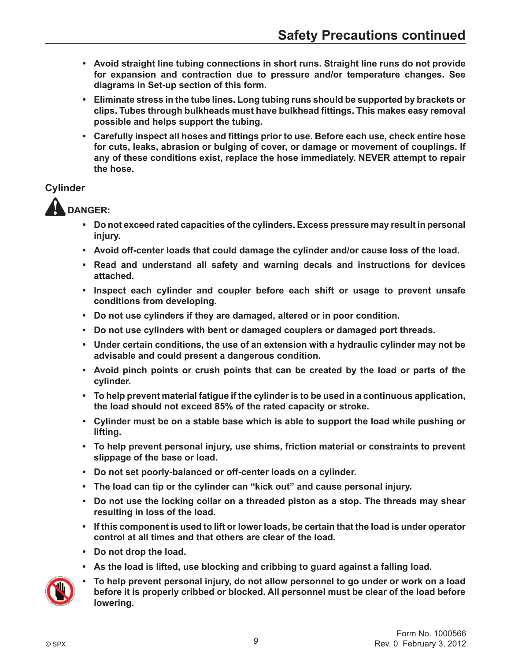- **Avoid straight line tubing connections in short runs. Straight line runs do not provide**  for expansion and contraction due to pressure and/or temperature changes. See diagrams in Set-up section of this form.
- **Eliminate stress in the tube lines. Long tubing runs should be supported by brackets or Clips. Tubes through bulkheads must have bulkhead fittings. This makes easy removal possible and helps support the tubing.**
- **Carefully inspect all hoses and fittings prior to use. Before each use, check entire hose** for cuts. leaks, abrasion or bulging of cover, or damage or movement of couplings. If any of these conditions exist, replace the hose immediately. NEVER attempt to repair **the hose.**

#### **Cylinder**

 **DANGER:**

- **Do not exceed rated capacities of the cylinders. Excess pressure may result in personal injury.**
- **Avoid off-center loads that could damage the cylinder and/or cause loss of the load.**
- **Read and understand all safety and warning decals and instructions for devices attached.**
- **Inspect each cylinder and coupler before each shift or usage to prevent unsafe conditions from developing.**
- **Do not use cylinders if they are damaged, altered or in poor condition.**
- **Do not use cylinders with bent or damaged couplers or damaged port threads.**
- **Under certain conditions, the use of an extension with a hydraulic cylinder may not be advisable and could present a dangerous condition.**
- **Avoid pinch points or crush points that can be created by the load or parts of the cylinder.**
- **•** To help prevent material fatique if the cylinder is to be used in a continuous application, the load should not exceed 85% of the rated capacity or stroke.
- **Cylinder must be on a stable base which is able to support the load while pushing or lifting.**
- To help prevent personal injury, use shims, friction material or constraints to prevent **slippage of the base or load.**
- Do not set poorly-balanced or off-center loads on a cylinder.
- The load can tip or the cylinder can "kick out" and cause personal injury.
- Do not use the locking collar on a threaded piston as a stop. The threads may shear **resulting in loss of the load.**
- **•** If this component is used to lift or lower loads, be certain that the load is under operator **control at all times and that others are clear of the load.**
- **Do not drop the load.**
- **•** As the load is lifted, use blocking and cribbing to quard against a falling load.



To help prevent personal injury, do not allow personnel to go under or work on a load before it is properly cribbed or blocked. All personnel must be clear of the load before **lowering.**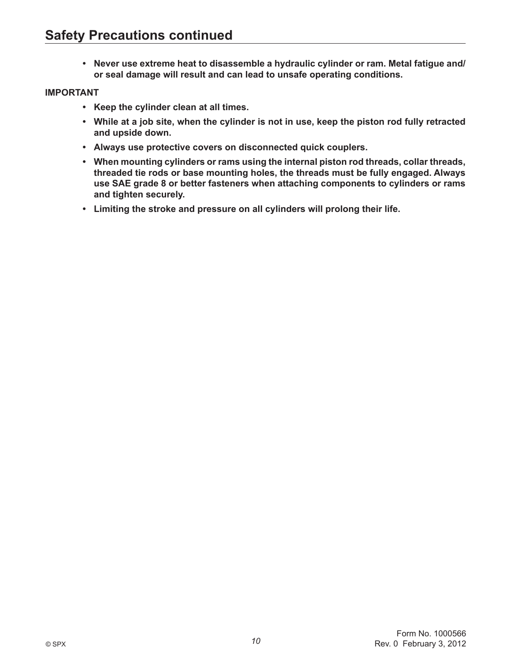• Never use extreme heat to disassemble a hydraulic cylinder or ram. Metal fatigue and/ **or seal damage will result and can lead to unsafe operating conditions.** 

#### **IMPORTANT**

- **Keep the cylinder clean at all times.**
- While at a job site, when the cylinder is not in use, keep the piston rod fully retracted **and upside down.**
- **Always use protective covers on disconnected quick couplers.**
- **When mounting cylinders or rams using the internal piston rod threads, collar threads,** threaded tie rods or base mounting holes, the threads must be fully engaged. Always use SAE grade 8 or better fasteners when attaching components to cylinders or rams **and tighten securely.**
- **Limiting the stroke and pressure on all cylinders will prolong their life.**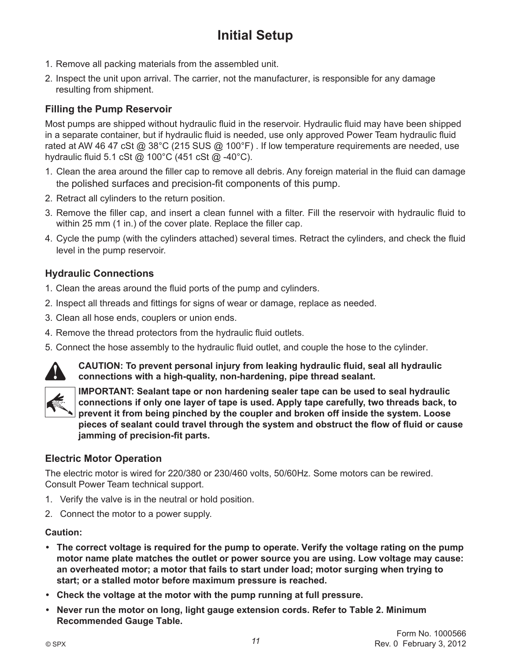## **Initial Setup**

- 1. Remove all packing materials from the assembled unit.
- 2. Inspect the unit upon arrival. The carrier, not the manufacturer, is responsible for any damage resulting from shipment.

#### **Filling the Pump Reservoir**

Most pumps are shipped without hydraulic fluid in the reservoir. Hydraulic fluid may have been shipped in a separate container, but if hydraulic fluid is needed, use only approved Power Team hydraulic fluid rated at AW 46 47 cSt @ 38°C (215 SUS @ 100°F). If low temperature requirements are needed, use hydraulic fluid 5.1 cSt @ 100 $^{\circ}$ C (451 cSt @ -40 $^{\circ}$ C).

- 1. Clean the area around the filler cap to remove all debris. Any foreign material in the fluid can damage the polished surfaces and precision-fit components of this pump.
- 2. Retract all cylinders to the return position.
- 3. Remove the filler cap, and insert a clean funnel with a filter. Fill the reservoir with hydraulic fluid to within 25 mm (1 in.) of the cover plate. Replace the filler cap.
- 4. Cycle the pump (with the cylinders attached) several times. Retract the cylinders, and check the fluid level in the pump reservoir.

#### **Hydraulic Connections**

- 1. Clean the areas around the fluid ports of the pump and cylinders.
- 2. Inspect all threads and fittings for signs of wear or damage, replace as needed.
- 3. Clean all hose ends, couplers or union ends.
- 4. Remove the thread protectors from the hydraulic fluid outlets.
- 5. Connect the hose assembly to the hydraulic fluid outlet, and couple the hose to the cylinder.



**CAUTION:** To prevent personal injury from leaking hydraulic fluid, seal all hydraulic connections with a high-quality, non-hardening, pipe thread sealant.



**IMPORTANT: Sealant tape or non hardening sealer tape can be used to seal hydraulic**  connections if only one layer of tape is used. Apply tape carefully, two threads back, to prevent it from being pinched by the coupler and broken off inside the system. Loose pieces of sealant could travel through the system and obstruct the flow of fluid or cause **jamming of precision-fit parts.** 

#### **Electric Motor Operation**

The electric motor is wired for 220/380 or 230/460 volts, 50/60Hz. Some motors can be rewired. Consult Power Team technical support.

- 1. Verify the valve is in the neutral or hold position.
- 2. Connect the motor to a power supply.

#### **Caution:**

- **The correct voltage is required for the pump to operate. Verify the voltage rating on the pump motor name plate matches the outlet or power source you are using. Low voltage may cause: an overheated motor; a motor that fails to start under load; motor surging when trying to**  start; or a stalled motor before maximum pressure is reached.
- **Check the voltage at the motor with the pump running at full pressure.**
- Never run the motor on long, light gauge extension cords. Refer to Table 2. Minimum **Recommended Gauge Table.**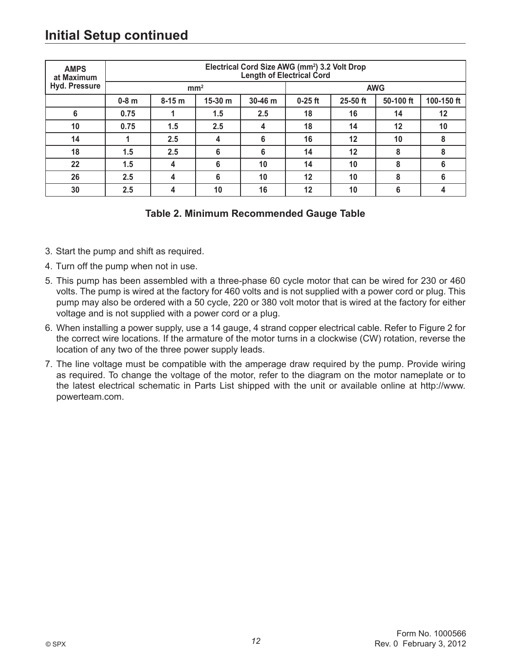## **Initial Setup continued**

| <b>AMPS</b><br>at Maximum | Electrical Cord Size AWG (mm <sup>2</sup> ) 3.2 Volt Drop<br>Length of Electrical Cord |                         |           |         |           |          |            |            |
|---------------------------|----------------------------------------------------------------------------------------|-------------------------|-----------|---------|-----------|----------|------------|------------|
| Hyd. Pressure             |                                                                                        | mm <sup>2</sup>         |           |         |           |          | <b>AWG</b> |            |
|                           | $0-8$ m                                                                                | $8-15 m$                | $15-30 m$ | 30-46 m | $0-25$ ft | 25-50 ft | 50-100 ft  | 100-150 ft |
| 6                         | 0.75                                                                                   |                         | 1.5       | 2.5     | 18        | 16       | 14         | 12         |
| 10                        | 0.75                                                                                   | 1.5                     | 2.5       | 4       | 18        | 14       | 12         | 10         |
| 14                        |                                                                                        | 2.5                     | 4         | 6       | 16        | 12       | 10         | 8          |
| 18                        | 1.5                                                                                    | 2.5                     | 6         | 6       | 14        | 12       | 8          | 8          |
| 22                        | 1.5                                                                                    | $\overline{\mathbf{4}}$ | 6         | 10      | 14        | 10       | 8          | 6          |
| 26                        | 2.5                                                                                    | 4                       | 6         | 10      | 12        | 10       | 8          | 6          |
| 30                        | 2.5                                                                                    | 4                       | 10        | 16      | 12        | 10       | 6          | 4          |

#### **Table 2. Minimum Recommended Gauge Table**

- 3. Start the pump and shift as required.
- 4. Turn off the pump when not in use.
- 5. This pump has been assembled with a three-phase 60 cycle motor that can be wired for 230 or 460 volts. The pump is wired at the factory for 460 volts and is not supplied with a power cord or plug. This pump may also be ordered with a 50 cycle, 220 or 380 volt motor that is wired at the factory for either voltage and is not supplied with a power cord or a plug.
- 6. When installing a power supply, use a 14 gauge, 4 strand copper electrical cable. Refer to Figure 2 for the correct wire locations. If the armature of the motor turns in a clockwise (CW) rotation, reverse the location of any two of the three power supply leads.
- 7. The line voltage must be compatible with the amperage draw required by the pump. Provide wiring as required. To change the voltage of the motor, refer to the diagram on the motor nameplate or to the latest electrical schematic in Parts List shipped with the unit or available online at http://www. powerteam.com.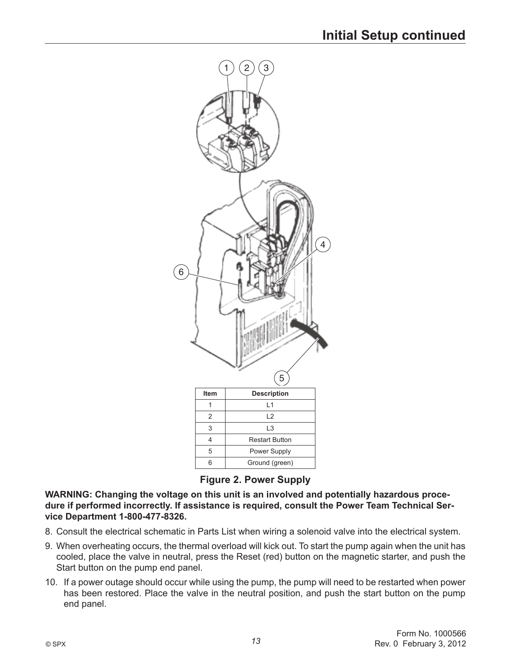

**Figure 2. Power Supply**

**WARNING: Changing the voltage on this unit is an involved and potentially hazardous proce** dure if performed incorrectly. If assistance is required, consult the Power Team Technical Ser**vice Department 1-800-477-8326.** 

- 8. Consult the electrical schematic in Parts List when wiring a solenoid valve into the electrical system.
- 9. When overheating occurs, the thermal overload will kick out. To start the pump again when the unit has cooled, place the valve in neutral, press the Reset (red) button on the magnetic starter, and push the Start button on the pump end panel.
- 10. If a power outage should occur while using the pump, the pump will need to be restarted when power has been restored. Place the valve in the neutral position, and push the start button on the pump end panel.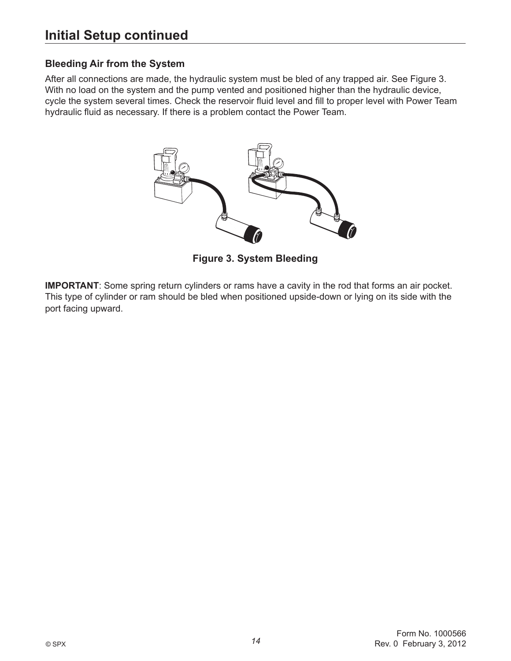### **Bleeding Air from the System**

After all connections are made, the hydraulic system must be bled of any trapped air. See Figure 3. With no load on the system and the pump vented and positioned higher than the hydraulic device, cycle the system several times. Check the reservoir fluid level and fill to proper level with Power Team hydraulic fluid as necessary. If there is a problem contact the Power Team.



**Figure 3. System Bleeding**

**IMPORTANT**: Some spring return cylinders or rams have a cavity in the rod that forms an air pocket. This type of cylinder or ram should be bled when positioned upside-down or lying on its side with the port facing upward.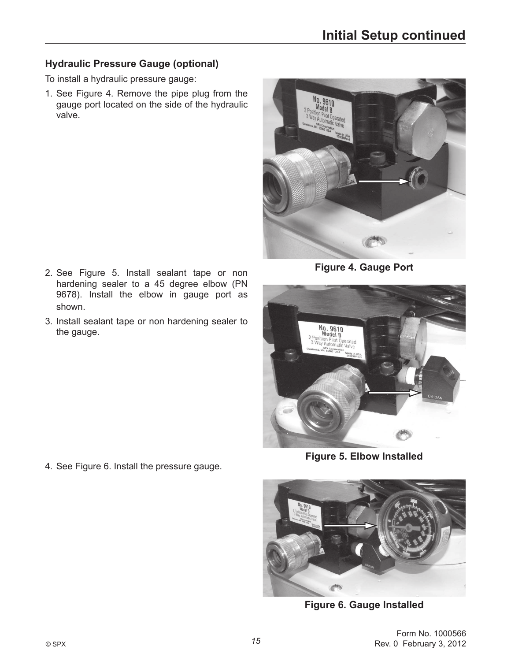### **Hydraulic Pressure Gauge (optional)**

To install a hydraulic pressure gauge:

1. See Figure 4. Remove the pipe plug from the gauge port located on the side of the hydraulic valve.



**Figure 4. Gauge Port**

**No. 9610**<br>2 Position Pilot Operated<br>3 Way Automatic Valve SPX Corporation (SPX Corporation)

**Figure 5. Elbow Installed** 



**Figure 6. Gauge Installed** 

- 2. See Figure 5. Install sealant tape or non hardening sealer to a 45 degree elbow (PN 9678). Install the elbow in gauge port as shown.
- 3. Install sealant tape or non hardening sealer to the gauge.

4. See Figure 6. Install the pressure gauge.

Form No. 1000566 Rev. 0 February 3, 2012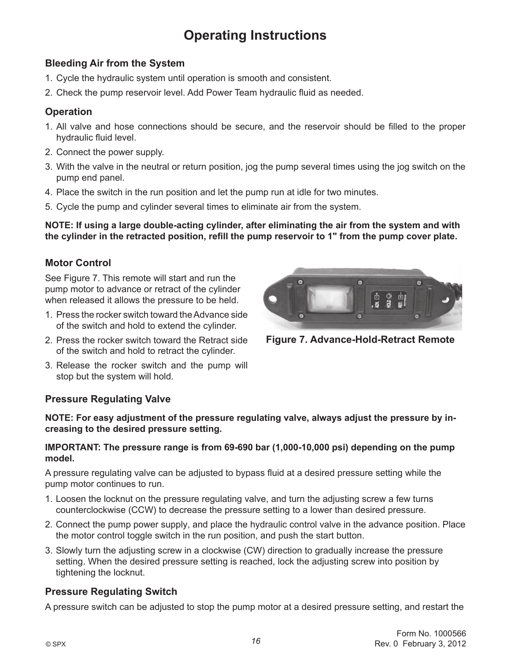## **Operating Instructions**

#### **Bleeding Air from the System**

- 1. Cycle the hydraulic system until operation is smooth and consistent.
- 2. Check the pump reservoir level. Add Power Team hydraulic fluid as needed.

#### **Operation**

- 1. All valve and hose connections should be secure, and the reservoir should be filled to the proper hydraulic fluid level.
- 2. Connect the power supply.
- 3. With the valve in the neutral or return position, jog the pump several times using the jog switch on the pump end panel.
- 4. Place the switch in the run position and let the pump run at idle for two minutes.
- 5. Cycle the pump and cylinder several times to eliminate air from the system.

**NOTE:** If using a large double-acting cylinder, after eliminating the air from the system and with the cylinder in the retracted position, refill the pump reservoir to 1" from the pump cover plate.

#### **Motor Control**

See Figure 7. This remote will start and run the pump motor to advance or retract of the cylinder when released it allows the pressure to be held.

- 1. Press the rocker switch toward the Advance side of the switch and hold to extend the cylinder.
- 2. Press the rocker switch toward the Retract side of the switch and hold to retract the cylinder.
- 3. Release the rocker switch and the pump will stop but the system will hold.

# **Figure 7. Advance-Hold-Retract Remote**

#### **Pressure Regulating Valve**

NOTE: For easy adjustment of the pressure regulating valve, always adjust the pressure by in**creasing to the desired pressure setting.**

#### **IMPORTANT:** The pressure range is from 69-690 bar (1,000-10,000 psi) depending on the pump **model.**

A pressure regulating valve can be adjusted to bypass fluid at a desired pressure setting while the pump motor continues to run.

- 1. Loosen the locknut on the pressure regulating valve, and turn the adjusting screw a few turns counterclockwise (CCW) to decrease the pressure setting to a lower than desired pressure.
- 2. Connect the pump power supply, and place the hydraulic control valve in the advance position. Place the motor control toggle switch in the run position, and push the start button.
- 3. Slowly turn the adjusting screw in a clockwise (CW) direction to gradually increase the pressure setting. When the desired pressure setting is reached, lock the adjusting screw into position by tightening the locknut.

### **Pressure Regulating Switch**

A pressure switch can be adjusted to stop the pump motor at a desired pressure setting, and restart the

G

er. G-

ம்  $\bigcirc$  ano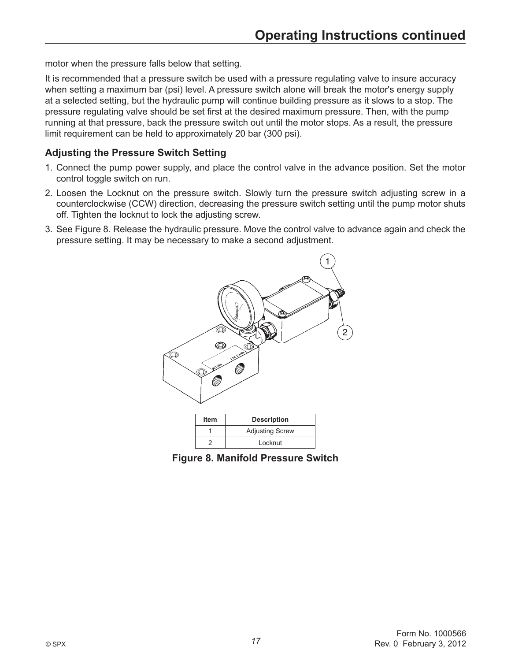motor when the pressure falls below that setting.

It is recommended that a pressure switch be used with a pressure regulating valve to insure accuracy when setting a maximum bar (psi) level. A pressure switch alone will break the motor's energy supply at a selected setting, but the hydraulic pump will continue building pressure as it slows to a stop. The pressure regulating valve should be set first at the desired maximum pressure. Then, with the pump running at that pressure, back the pressure switch out until the motor stops. As a result, the pressure limit requirement can be held to approximately 20 bar (300 psi).

#### **Adjusting the Pressure Switch Setting**

- 1. Connect the pump power supply, and place the control valve in the advance position. Set the motor control toggle switch on run.
- 2. Loosen the Locknut on the pressure switch. Slowly turn the pressure switch adjusting screw in a counterclockwise (CCW) direction, decreasing the pressure switch setting until the pump motor shuts off. Tighten the locknut to lock the adjusting screw.
- 3. See Figure 8. Release the hydraulic pressure. Move the control valve to advance again and check the pressure setting. It may be necessary to make a second adjustment.



**Figure 8. Manifold Pressure Switch**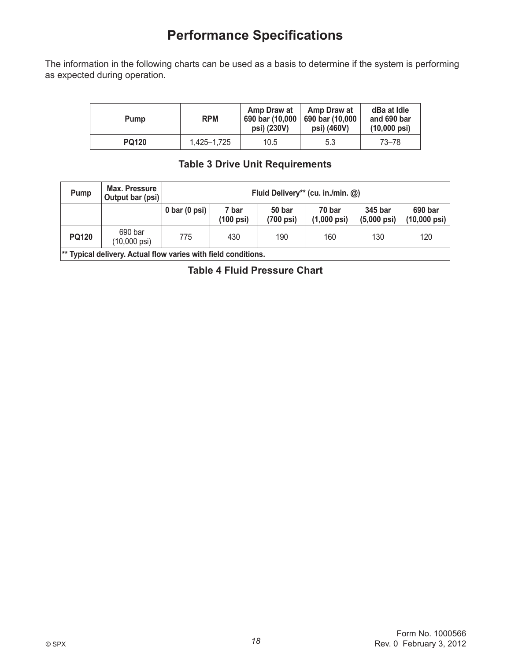## **Performance Specifications**

The information in the following charts can be used as a basis to determine if the system is performing as expected during operation.

| Pump         | <b>RPM</b>  | Amp Draw at<br>$690$ bar (10,000<br>psi) (230V) | Amp Draw at<br>690 bar (10,000<br>psi) (460V) | dBa at Idle<br>and 690 bar<br>$(10,000 \text{ psi})$ |
|--------------|-------------|-------------------------------------------------|-----------------------------------------------|------------------------------------------------------|
| <b>PQ120</b> | 1.425-1.725 | 10.5                                            | 5.3                                           | 73–78                                                |

#### **Table 3 Drive Unit Requirements**

| Pump                                                             | <b>Max. Pressure</b><br>Output bar (psi) | Fluid Delivery** (cu. in./min. @) |                              |                     |                                 |                                  |                                   |
|------------------------------------------------------------------|------------------------------------------|-----------------------------------|------------------------------|---------------------|---------------------------------|----------------------------------|-----------------------------------|
|                                                                  |                                          | $0 \text{ bar} (0 \text{ psi})$   | 7 bar<br>$(100 \text{ psi})$ | 50 bar<br>(700 psi) | 70 bar<br>$(1,000 \text{ psi})$ | 345 bar<br>$(5,000 \text{ psi})$ | 690 bar<br>$(10,000 \text{ psi})$ |
| <b>PQ120</b>                                                     | 690 bar<br>(10,000 psi)                  | 775                               | 430                          | 190                 | 160                             | 130                              | 120                               |
| $\ast$ Tynical delivery Actual flow varies with field conditions |                                          |                                   |                              |                     |                                 |                                  |                                   |

<sup>\*\*</sup> Typical delivery. Actual flow varies with field conditions.

**Table 4 Fluid Pressure Chart**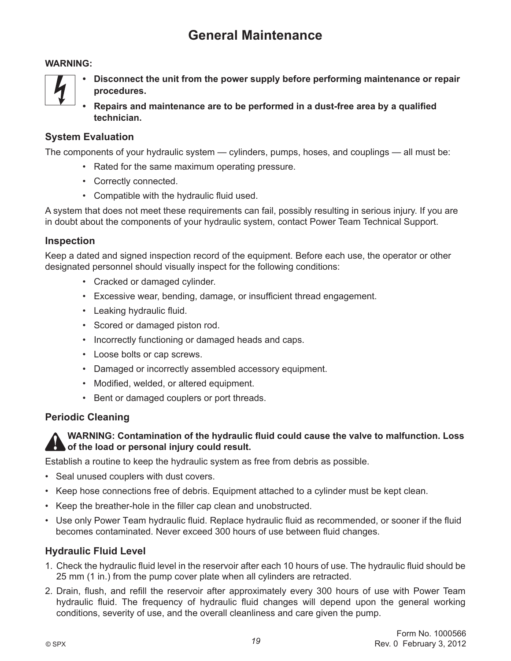## **General Maintenance**

#### **WARNING:**



- **Disconnect the unit from the power supply before performing maintenance or repair procedures.**
- Repairs and maintenance are to be performed in a dust-free area by a qualified **technician.**

#### **System Evaluation**

The components of your hydraulic system — cylinders, pumps, hoses, and couplings — all must be:

- Rated for the same maximum operating pressure.
- Correctly connected.
- $\cdot$  Compatible with the hydraulic fluid used.

A system that does not meet these requirements can fail, possibly resulting in serious injury. If you are in doubt about the components of your hydraulic system, contact Power Team Technical Support.

#### **Inspection**

Keep a dated and signed inspection record of the equipment. Before each use, the operator or other designated personnel should visually inspect for the following conditions:

- Cracked or damaged cylinder.
- Excessive wear, bending, damage, or insufficient thread engagement.
- Leaking hydraulic fluid.
- Scored or damaged piston rod.
- Incorrectly functioning or damaged heads and caps.
- Loose bolts or cap screws.
- Damaged or incorrectly assembled accessory equipment.
- Modified, welded, or altered equipment.
- Bent or damaged couplers or port threads.

#### **Periodic Cleaning**

**WARNING: Contamination of the hydraulic fluid could cause the valve to malfunction. Loss of the load or personal injury could result.**

Establish a routine to keep the hydraulic system as free from debris as possible.

- Seal unused couplers with dust covers.
- Keep hose connections free of debris. Equipment attached to a cylinder must be kept clean.
- Keep the breather-hole in the filler cap clean and unobstructed.
- Use only Power Team hydraulic fluid. Replace hydraulic fluid as recommended, or sooner if the fluid becomes contaminated. Never exceed 300 hours of use between fluid changes.

#### **Hydraulic Fluid Level**

- 1. Check the hydraulic fluid level in the reservoir after each 10 hours of use. The hydraulic fluid should be 25 mm (1 in.) from the pump cover plate when all cylinders are retracted.
- 2. Drain, flush, and refill the reservoir after approximately every 300 hours of use with Power Team hydraulic fluid. The frequency of hydraulic fluid changes will depend upon the general working conditions, severity of use, and the overall cleanliness and care given the pump.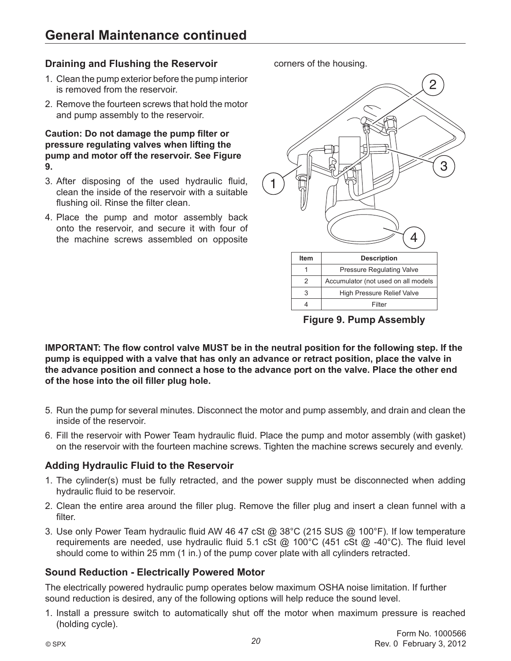#### **Draining and Flushing the Reservoir**

- 1. Clean the pump exterior before the pump interior is removed from the reservoir.
- 2. Remove the fourteen screws that hold the motor and pump assembly to the reservoir.

#### Caution: Do not damage the pump filter or **pressure regulating valves when lifting the pump and motor off the reservoir. See Figure**  9.

- 3. After disposing of the used hydraulic fluid, clean the inside of the reservoir with a suitable flushing oil. Rinse the filter clean.
- 4. Place the pump and motor assembly back onto the reservoir, and secure it with four of the machine screws assembled on opposite

corners of the housing.



**Figure 9. Pump Assembly** 

**IMPORTANT:** The flow control valve MUST be in the neutral position for the following step. If the pump is equipped with a valve that has only an advance or retract position, place the valve in **the advance position and connect a hose to the advance port on the valve. Place the other end**  of the hose into the oil filler plug hole.

- 5. Run the pump for several minutes. Disconnect the motor and pump assembly, and drain and clean the inside of the reservoir.
- 6. Fill the reservoir with Power Team hydraulic fluid. Place the pump and motor assembly (with gasket) on the reservoir with the fourteen machine screws. Tighten the machine screws securely and evenly.

### **Adding Hydraulic Fluid to the Reservoir**

- 1. The cylinder(s) must be fully retracted, and the power supply must be disconnected when adding hydraulic fluid to be reservoir.
- 2. Clean the entire area around the filler plug. Remove the filler plug and insert a clean funnel with a filter.
- 3. Use only Power Team hydraulic fluid AW 46 47 cSt @ 38°C (215 SUS @ 100°F). If low temperature requirements are needed, use hydraulic fluid 5.1 cSt  $@$  100°C (451 cSt  $@$  -40°C). The fluid level should come to within 25 mm (1 in.) of the pump cover plate with all cylinders retracted.

#### **Sound Reduction - Electrically Powered Motor**

The electrically powered hydraulic pump operates below maximum OSHA noise limitation. If further sound reduction is desired, any of the following options will help reduce the sound level.

1. Install a pressure switch to automatically shut off the motor when maximum pressure is reached (holding cycle).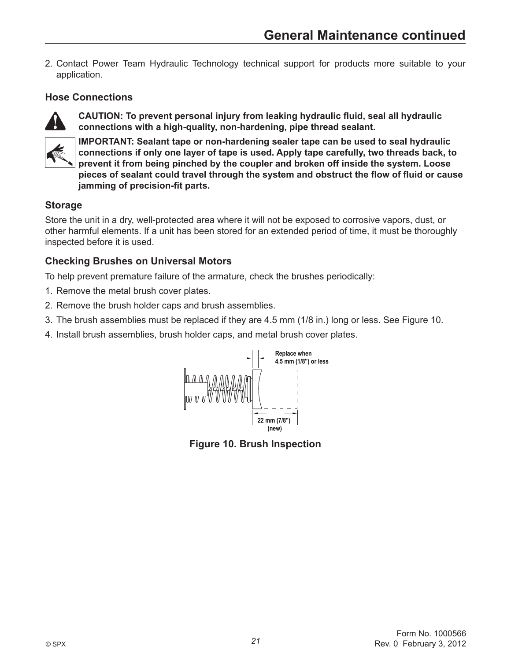2. Contact Power Team Hydraulic Technology technical support for products more suitable to your application.

#### **Hose Connections**



CAUTION: To prevent personal injury from leaking hydraulic fluid, seal all hydraulic connections with a high-quality, non-hardening, pipe thread sealant.



**IMPORTANT: Sealant tape or non-hardening sealer tape can be used to seal hydraulic** connections if only one layer of tape is used. Apply tape carefully, two threads back, to prevent it from being pinched by the coupler and broken off inside the system. Loose pieces of sealant could travel through the system and obstruct the flow of fluid or cause **jamming of precision-fit parts.** 

### **Storage**

Store the unit in a dry, well-protected area where it will not be exposed to corrosive vapors, dust, or other harmful elements. If a unit has been stored for an extended period of time, it must be thoroughly inspected before it is used.

### **Checking Brushes on Universal Motors**

To help prevent premature failure of the armature, check the brushes periodically:

- 1. Remove the metal brush cover plates.
- 2. Remove the brush holder caps and brush assemblies.
- 3. The brush assemblies must be replaced if they are 4.5 mm (1/8 in.) long or less. See Figure 10.
- 4. Install brush assemblies, brush holder caps, and metal brush cover plates.



**Figure 10. Brush Inspection**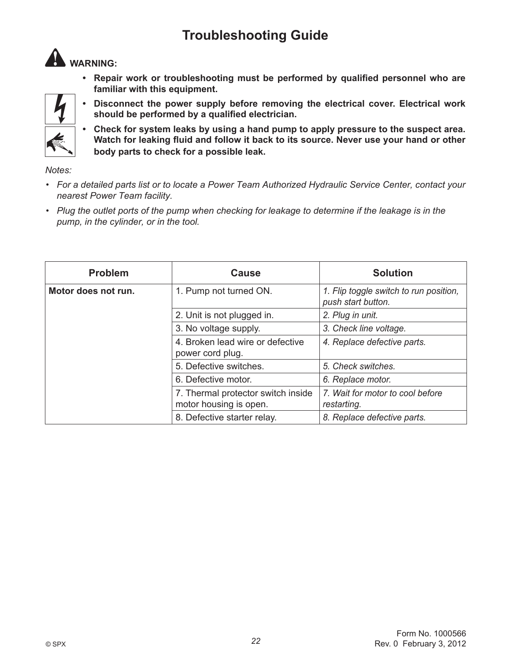## **Troubleshooting Guide**



• Repair work or troubleshooting must be performed by qualified personnel who are **familiar with this equipment.**



**• Disconnect the power supply before removing the electrical cover. Electrical work** should be performed by a qualified electrician.

**• Check for system leaks by using a hand pump to apply pressure to the suspect area.** Watch for leaking fluid and follow it back to its source. Never use your hand or other body parts to check for a possible leak.

*Notes:*

- **·** For a detailed parts list or to locate a Power Team Authorized Hydraulic Service Center, contact your *nearest Power Team facility.*
- Plug the outlet ports of the pump when checking for leakage to determine if the leakage is in the *pump, in the cylinder, or in the tool.*

| <b>Problem</b>      | <b>Cause</b>                                                 | <b>Solution</b>                                              |
|---------------------|--------------------------------------------------------------|--------------------------------------------------------------|
| Motor does not run. | 1. Pump not turned ON.                                       | 1. Flip toggle switch to run position,<br>push start button. |
|                     | 2. Unit is not plugged in.                                   | 2. Plug in unit.                                             |
|                     | 3. No voltage supply.                                        | 3. Check line voltage.                                       |
|                     | 4. Broken lead wire or defective<br>power cord plug.         | 4. Replace defective parts.                                  |
|                     | 5. Defective switches.                                       | 5. Check switches.                                           |
|                     | 6. Defective motor.                                          | 6. Replace motor.                                            |
|                     | 7. Thermal protector switch inside<br>motor housing is open. | 7. Wait for motor to cool before<br>restarting.              |
|                     | 8. Defective starter relay.                                  | 8. Replace defective parts.                                  |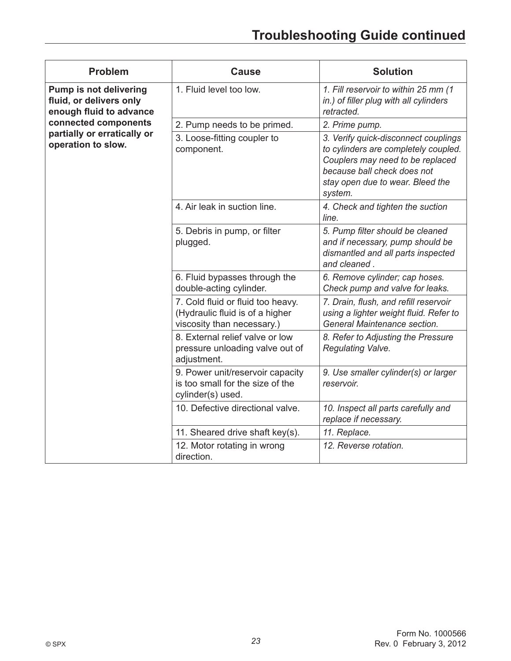| <b>Problem</b>                                                                      | <b>Cause</b>                                                                                       | <b>Solution</b>                                                                                                                                                                                |
|-------------------------------------------------------------------------------------|----------------------------------------------------------------------------------------------------|------------------------------------------------------------------------------------------------------------------------------------------------------------------------------------------------|
| <b>Pump is not delivering</b><br>fluid, or delivers only<br>enough fluid to advance | 1. Fluid level too low.                                                                            | 1. Fill reservoir to within 25 mm (1)<br>in.) of filler plug with all cylinders<br>retracted.                                                                                                  |
| connected components                                                                | 2. Pump needs to be primed.                                                                        | 2. Prime pump.                                                                                                                                                                                 |
| partially or erratically or<br>operation to slow.                                   | 3. Loose-fitting coupler to<br>component.                                                          | 3. Verify quick-disconnect couplings<br>to cylinders are completely coupled.<br>Couplers may need to be replaced<br>because ball check does not<br>stay open due to wear. Bleed the<br>system. |
|                                                                                     | 4. Air leak in suction line.                                                                       | 4. Check and tighten the suction<br>line.                                                                                                                                                      |
|                                                                                     | 5. Debris in pump, or filter<br>plugged.                                                           | 5. Pump filter should be cleaned<br>and if necessary, pump should be<br>dismantled and all parts inspected<br>and cleaned.                                                                     |
|                                                                                     | 6. Fluid bypasses through the<br>double-acting cylinder.                                           | 6. Remove cylinder; cap hoses.<br>Check pump and valve for leaks.                                                                                                                              |
|                                                                                     | 7. Cold fluid or fluid too heavy.<br>(Hydraulic fluid is of a higher<br>viscosity than necessary.) | 7. Drain, flush, and refill reservoir<br>using a lighter weight fluid. Refer to<br>General Maintenance section.                                                                                |
|                                                                                     | 8. External relief valve or low<br>pressure unloading valve out of<br>adjustment.                  | 8. Refer to Adjusting the Pressure<br>Regulating Valve.                                                                                                                                        |
|                                                                                     | 9. Power unit/reservoir capacity<br>is too small for the size of the<br>cylinder(s) used.          | 9. Use smaller cylinder(s) or larger<br>reservoir.                                                                                                                                             |
|                                                                                     | 10. Defective directional valve.                                                                   | 10. Inspect all parts carefully and<br>replace if necessary.                                                                                                                                   |
|                                                                                     | 11. Sheared drive shaft key(s).                                                                    | 11. Replace.                                                                                                                                                                                   |
|                                                                                     | 12. Motor rotating in wrong<br>direction.                                                          | 12. Reverse rotation.                                                                                                                                                                          |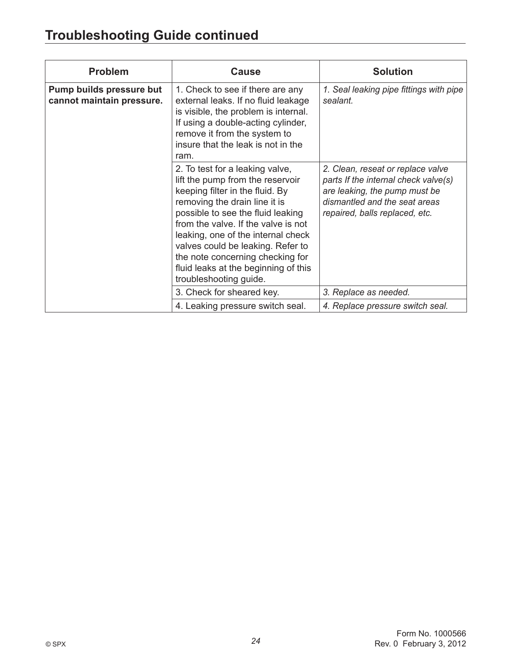## **Troubleshooting Guide continued**

| <b>Problem</b>                                        | <b>Cause</b>                                                                                                                                                                                                                                                                                                                                                                                         | <b>Solution</b>                                                                                                                                                               |
|-------------------------------------------------------|------------------------------------------------------------------------------------------------------------------------------------------------------------------------------------------------------------------------------------------------------------------------------------------------------------------------------------------------------------------------------------------------------|-------------------------------------------------------------------------------------------------------------------------------------------------------------------------------|
| Pump builds pressure but<br>cannot maintain pressure. | 1. Check to see if there are any<br>external leaks. If no fluid leakage<br>is visible, the problem is internal.<br>If using a double-acting cylinder,<br>remove it from the system to<br>insure that the leak is not in the<br>ram.                                                                                                                                                                  | 1. Seal leaking pipe fittings with pipe<br>sealant.                                                                                                                           |
|                                                       | 2. To test for a leaking valve,<br>lift the pump from the reservoir<br>keeping filter in the fluid. By<br>removing the drain line it is<br>possible to see the fluid leaking<br>from the valve. If the valve is not<br>leaking, one of the internal check<br>valves could be leaking. Refer to<br>the note concerning checking for<br>fluid leaks at the beginning of this<br>troubleshooting guide. | 2. Clean, reseat or replace valve<br>parts If the internal check valve(s)<br>are leaking, the pump must be<br>dismantled and the seat areas<br>repaired, balls replaced, etc. |
|                                                       | 3. Check for sheared key.                                                                                                                                                                                                                                                                                                                                                                            | 3. Replace as needed.                                                                                                                                                         |
|                                                       | 4. Leaking pressure switch seal.                                                                                                                                                                                                                                                                                                                                                                     | 4. Replace pressure switch seal.                                                                                                                                              |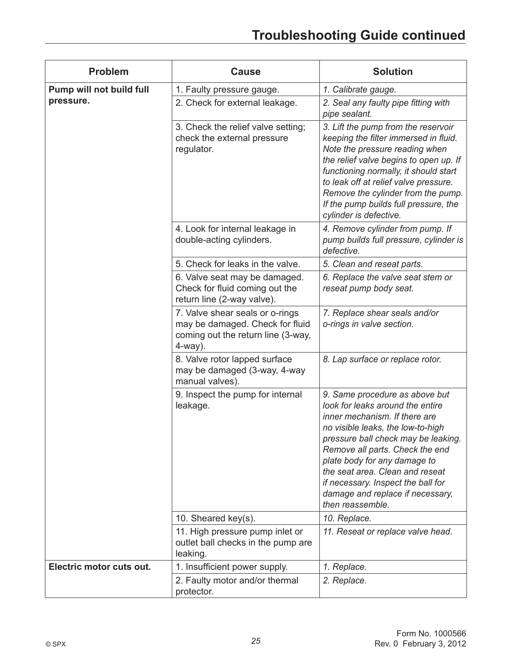| <b>Problem</b>           | <b>Cause</b>                                                                                                           | <b>Solution</b>                                                                                                                                                                                                                                                                                                                                                                     |
|--------------------------|------------------------------------------------------------------------------------------------------------------------|-------------------------------------------------------------------------------------------------------------------------------------------------------------------------------------------------------------------------------------------------------------------------------------------------------------------------------------------------------------------------------------|
| Pump will not build full | 1. Faulty pressure gauge.                                                                                              | 1. Calibrate gauge.                                                                                                                                                                                                                                                                                                                                                                 |
| pressure.                | 2. Check for external leakage.                                                                                         | 2. Seal any faulty pipe fitting with<br>pipe sealant.                                                                                                                                                                                                                                                                                                                               |
|                          | 3. Check the relief valve setting;<br>check the external pressure<br>regulator.                                        | 3. Lift the pump from the reservoir<br>keeping the filter immersed in fluid.<br>Note the pressure reading when<br>the relief valve begins to open up. If<br>functioning normally, it should start<br>to leak off at relief valve pressure.<br>Remove the cylinder from the pump.<br>If the pump builds full pressure, the<br>cylinder is defective.                                 |
|                          | 4. Look for internal leakage in<br>double-acting cylinders.                                                            | 4. Remove cylinder from pump. If<br>pump builds full pressure, cylinder is<br>defective.                                                                                                                                                                                                                                                                                            |
|                          | 5. Check for leaks in the valve.                                                                                       | 5. Clean and reseat parts.                                                                                                                                                                                                                                                                                                                                                          |
|                          | 6. Valve seat may be damaged.<br>Check for fluid coming out the<br>return line (2-way valve).                          | 6. Replace the valve seat stem or<br>reseat pump body seat.                                                                                                                                                                                                                                                                                                                         |
|                          | 7. Valve shear seals or o-rings<br>may be damaged. Check for fluid<br>coming out the return line (3-way,<br>$4$ -way). | 7. Replace shear seals and/or<br>o-rings in valve section.                                                                                                                                                                                                                                                                                                                          |
|                          | 8. Valve rotor lapped surface<br>may be damaged (3-way, 4-way<br>manual valves).                                       | 8. Lap surface or replace rotor.                                                                                                                                                                                                                                                                                                                                                    |
|                          | 9. Inspect the pump for internal<br>leakage.                                                                           | 9. Same procedure as above but<br>look for leaks around the entire<br>inner mechanism. If there are<br>no visible leaks, the low-to-high<br>pressure ball check may be leaking.<br>Remove all parts. Check the end<br>plate body for any damage to<br>the seat area. Clean and reseat<br>if necessary. Inspect the ball for<br>damage and replace if necessary,<br>then reassemble. |
|                          | 10. Sheared key(s).                                                                                                    | 10. Replace.                                                                                                                                                                                                                                                                                                                                                                        |
|                          | 11. High pressure pump inlet or<br>outlet ball checks in the pump are<br>leaking.                                      | 11. Reseat or replace valve head.                                                                                                                                                                                                                                                                                                                                                   |
| Electric motor cuts out. | 1. Insufficient power supply.                                                                                          | 1. Replace.                                                                                                                                                                                                                                                                                                                                                                         |
|                          | 2. Faulty motor and/or thermal<br>protector.                                                                           | 2. Replace.                                                                                                                                                                                                                                                                                                                                                                         |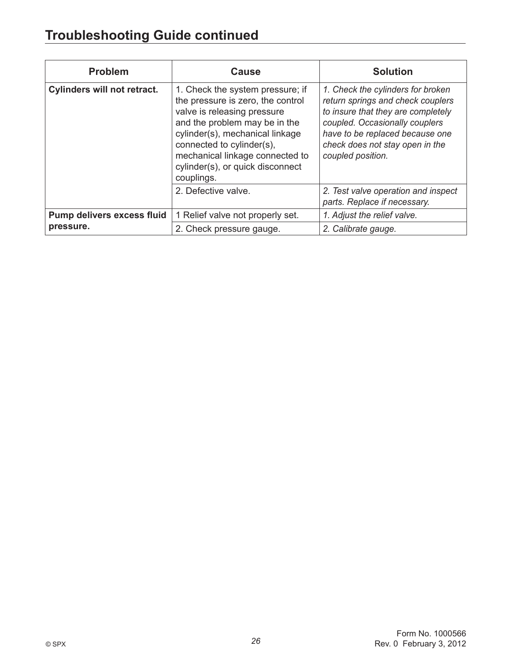## **Troubleshooting Guide continued**

| <b>Problem</b>                     | <b>Cause</b>                                                                                                                                                                                                                                                                               | <b>Solution</b>                                                                                                                                                                                                                           |
|------------------------------------|--------------------------------------------------------------------------------------------------------------------------------------------------------------------------------------------------------------------------------------------------------------------------------------------|-------------------------------------------------------------------------------------------------------------------------------------------------------------------------------------------------------------------------------------------|
| <b>Cylinders will not retract.</b> | 1. Check the system pressure; if<br>the pressure is zero, the control<br>valve is releasing pressure<br>and the problem may be in the<br>cylinder(s), mechanical linkage<br>connected to cylinder(s),<br>mechanical linkage connected to<br>cylinder(s), or quick disconnect<br>couplings. | 1. Check the cylinders for broken<br>return springs and check couplers<br>to insure that they are completely<br>coupled. Occasionally couplers<br>have to be replaced because one<br>check does not stay open in the<br>coupled position. |
|                                    | 2. Defective valve.                                                                                                                                                                                                                                                                        | 2. Test valve operation and inspect<br>parts. Replace if necessary.                                                                                                                                                                       |
| Pump delivers excess fluid         | 1 Relief valve not properly set.                                                                                                                                                                                                                                                           | 1. Adjust the relief valve.                                                                                                                                                                                                               |
| pressure.                          | 2. Check pressure gauge.                                                                                                                                                                                                                                                                   | 2. Calibrate gauge.                                                                                                                                                                                                                       |